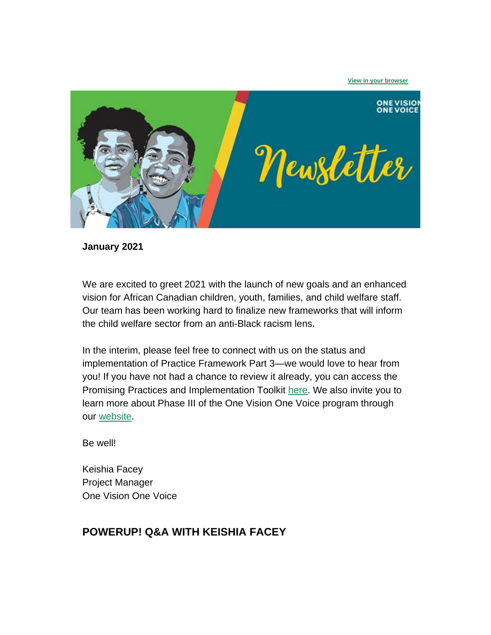

**January 2021**

We are excited to greet 2021 with the launch of new goals and an enhanced vision for African Canadian children, youth, families, and child welfare staff. Our team has been working hard to finalize new frameworks that will inform the child welfare sector from an anti-Black racism lens.

In the interim, please feel free to connect with us on the status and implementation of Practice Framework Part 3—we would love to hear from you! If you have not had a chance to review it already, you can access the Promising Practices and Implementation Toolkit [here.](http://go.oacas.org/e/529102/-Practice-Framework-Part-3-pdf/76k8th/948321068?h=t51b4L60fuYnXiRbIrngxIXN2rNzZJpjzOc3k-c6Vq8) We also invite you to learn more about Phase III of the One Vision One Voice program through our [website.](http://go.oacas.org/e/529102/what-we-do-onevisiononevoice-/76k8tk/948321068?h=t51b4L60fuYnXiRbIrngxIXN2rNzZJpjzOc3k-c6Vq8)

Be well!

Keishia Facey Project Manager One Vision One Voice

### **POWERUP! Q&A WITH KEISHIA FACEY**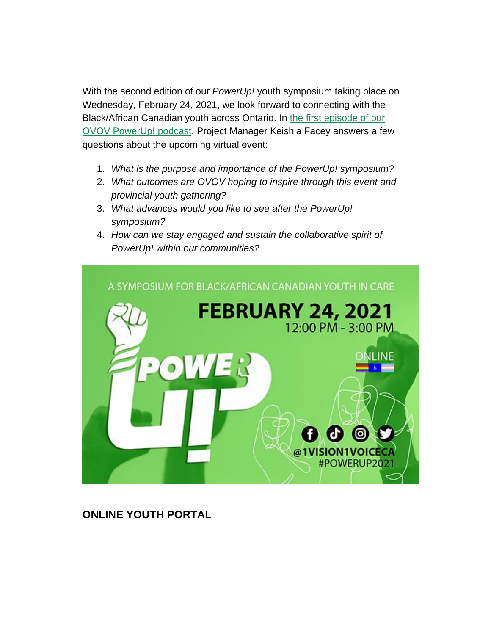With the second edition of our *PowerUp!* youth symposium taking place on Wednesday, February 24, 2021, we look forward to connecting with the Black/African Canadian youth across Ontario. In the first episode of our [OVOV PowerUp! podcast,](http://go.oacas.org/e/529102/watch-v-wizBBx5ZuHY/76k8tm/948321068?h=t51b4L60fuYnXiRbIrngxIXN2rNzZJpjzOc3k-c6Vq8) Project Manager Keishia Facey answers a few questions about the upcoming virtual event:

- 1. *What is the purpose and importance of the PowerUp! symposium?*
- 2. *What outcomes are OVOV hoping to inspire through this event and provincial youth gathering?*
- 3. *What advances would you like to see after the PowerUp! symposium?*
- 4. *How can we stay engaged and sustain the collaborative spirit of PowerUp! within our communities?*



**ONLINE YOUTH PORTAL**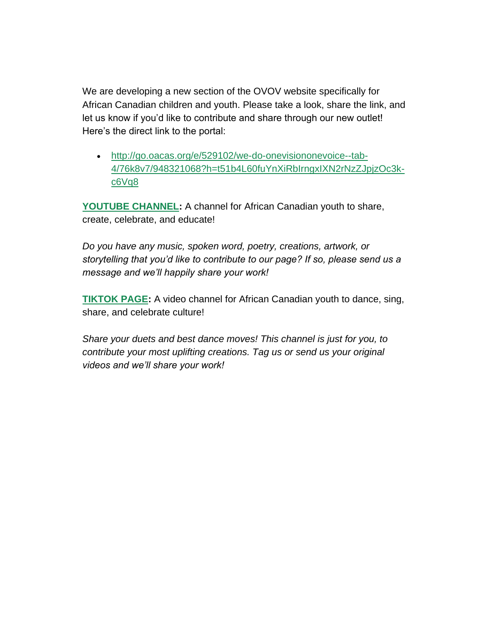We are developing a new section of the OVOV website specifically for African Canadian children and youth. Please take a look, share the link, and let us know if you'd like to contribute and share through our new outlet! Here's the direct link to the portal:

• [http://go.oacas.org/e/529102/we-do-onevisiononevoice--tab-](http://go.oacas.org/e/529102/we-do-onevisiononevoice--tab-4/76k8v7/948321068?h=t51b4L60fuYnXiRbIrngxIXN2rNzZJpjzOc3k-c6Vq8)[4/76k8v7/948321068?h=t51b4L60fuYnXiRbIrngxIXN2rNzZJpjzOc3k](http://go.oacas.org/e/529102/we-do-onevisiononevoice--tab-4/76k8v7/948321068?h=t51b4L60fuYnXiRbIrngxIXN2rNzZJpjzOc3k-c6Vq8)[c6Vq8](http://go.oacas.org/e/529102/we-do-onevisiononevoice--tab-4/76k8v7/948321068?h=t51b4L60fuYnXiRbIrngxIXN2rNzZJpjzOc3k-c6Vq8)

**[YOUTUBE CHANNEL:](http://go.oacas.org/e/529102/annel-UCBpFunyt-X-yRr0sTfEu6Xw/76k8v9/948321068?h=t51b4L60fuYnXiRbIrngxIXN2rNzZJpjzOc3k-c6Vq8)** A channel for African Canadian youth to share, create, celebrate, and educate!

*Do you have any music, spoken word, poetry, creations, artwork, or storytelling that you'd like to contribute to our page? If so, please send us a message and we'll happily share your work!*

**[TIKTOK PAGE:](http://go.oacas.org/e/529102/-1vision1voiceca-/76k8vc/948321068?h=t51b4L60fuYnXiRbIrngxIXN2rNzZJpjzOc3k-c6Vq8)** A video channel for African Canadian youth to dance, sing, share, and celebrate culture!

*Share your duets and best dance moves! This channel is just for you, to contribute your most uplifting creations. Tag us or send us your original videos and we'll share your work!*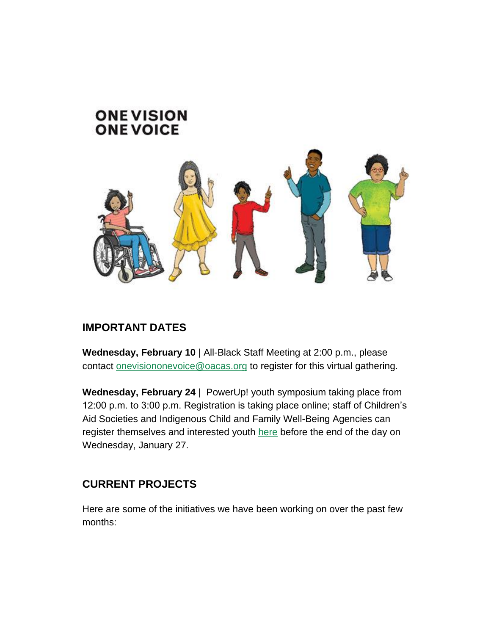# **ONE VISION ONE VOICE**



### **IMPORTANT DATES**

**Wednesday, February 10** | All-Black Staff Meeting at 2:00 p.m., please contact [onevisiononevoice@oacas.org](mailto:onevisiononevoice@oacas.org) to register for this virtual gathering.

**Wednesday, February 24** | PowerUp! youth symposium taking place from 12:00 p.m. to 3:00 p.m. Registration is taking place online; staff of Children's Aid Societies and Indigenous Child and Family Well-Being Agencies can register themselves and interested youth [here](http://go.oacas.org/e/529102/mtrzwvE9EIQiQwo-D2GZ0KMJCUvSwi/76k8tr/948321068?h=t51b4L60fuYnXiRbIrngxIXN2rNzZJpjzOc3k-c6Vq8) before the end of the day on Wednesday, January 27.

### **CURRENT PROJECTS**

Here are some of the initiatives we have been working on over the past few months: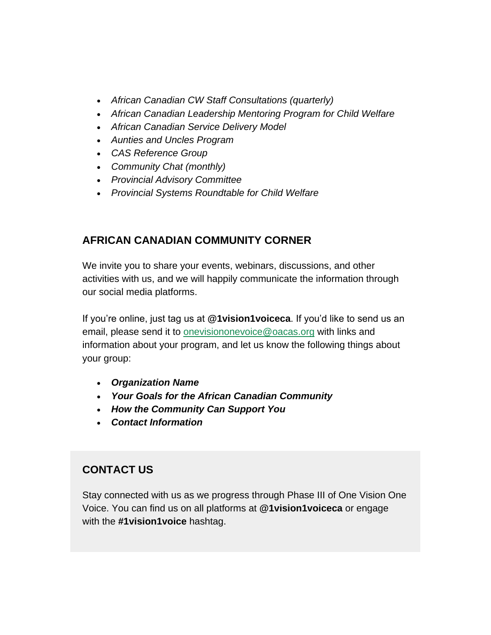- *African Canadian CW Staff Consultations (quarterly)*
- *African Canadian Leadership Mentoring Program for Child Welfare*
- *African Canadian Service Delivery Model*
- *Aunties and Uncles Program*
- *CAS Reference Group*
- *Community Chat (monthly)*
- *Provincial Advisory Committee*
- *Provincial Systems Roundtable for Child Welfare*

#### **AFRICAN CANADIAN COMMUNITY CORNER**

We invite you to share your events, webinars, discussions, and other activities with us, and we will happily communicate the information through our social media platforms.

If you're online, just tag us at **@1vision1voiceca**. If you'd like to send us an email, please send it to [onevisiononevoice@oacas.org](mailto:onevisiononevoice@oacas.org) with links and information about your program, and let us know the following things about your group:

- *Organization Name*
- *Your Goals for the African Canadian Community*
- *How the Community Can Support You*
- *Contact Information*

## **CONTACT US**

Stay connected with us as we progress through Phase III of One Vision One Voice. You can find us on all platforms at **@1vision1voiceca** or engage with the **#1vision1voice** hashtag.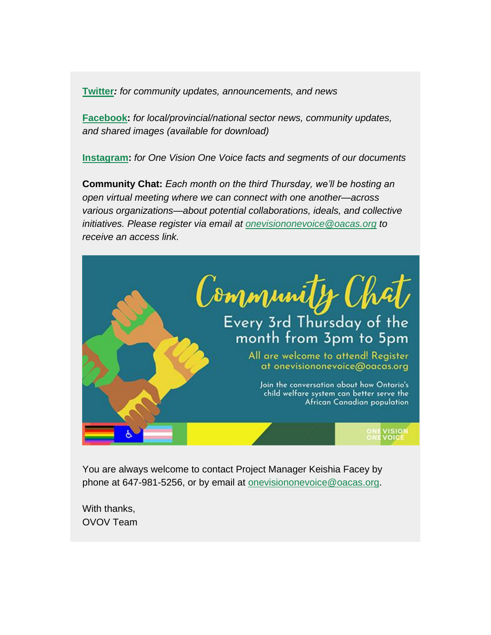**[Twitter](http://go.oacas.org/e/529102/1vision1voiceca/76k8tt/948321068?h=t51b4L60fuYnXiRbIrngxIXN2rNzZJpjzOc3k-c6Vq8)***: for community updates, announcements, and news*

**[Facebook:](http://go.oacas.org/e/529102/1vision1voiceca/76k8tw/948321068?h=t51b4L60fuYnXiRbIrngxIXN2rNzZJpjzOc3k-c6Vq8)** *for local/provincial/national sector news, community updates, and shared images (available for download)*

**[Instagram:](http://go.oacas.org/e/529102/1vision1voiceca-/76k8ty/948321068?h=t51b4L60fuYnXiRbIrngxIXN2rNzZJpjzOc3k-c6Vq8)** *for One Vision One Voice facts and segments of our documents*

**Community Chat:** *Each month on the third Thursday, we'll be hosting an open virtual meeting where we can connect with one another—across various organizations—about potential collaborations, ideals, and collective initiatives. Please register via email at [onevisiononevoice@oacas.org](mailto:onevisiononevoice@oacas.org) to receive an access link.*



You are always welcome to contact Project Manager Keishia Facey by phone at 647-981-5256, or by email at [onevisiononevoice@oacas.org.](mailto:onevisiononevoice@oacas.org)

With thanks, OVOV Team